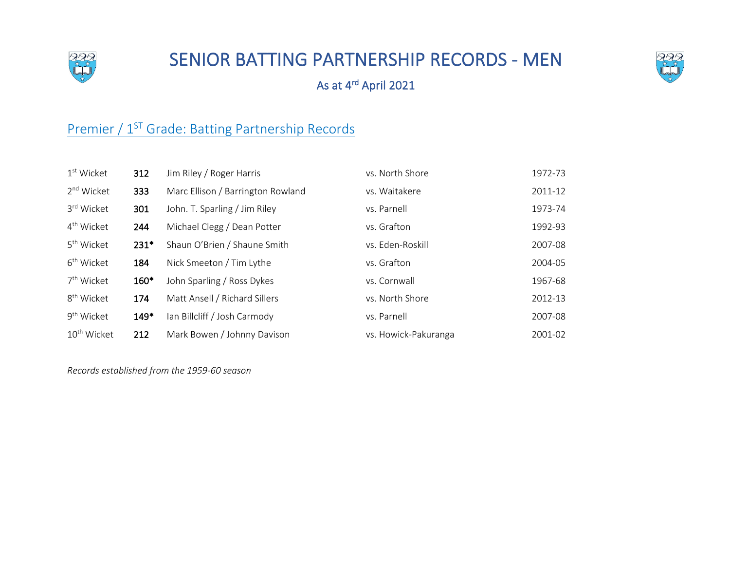

## SENIOR BATTING PARTNERSHIP RECORDS - MEN



As at 4rd April 2021

## Premier / 1<sup>ST</sup> Grade: Batting Partnership Records

| $1st$ Wicket            | 312    | Jim Riley / Roger Harris          | vs. North Shore      | 1972-73 |
|-------------------------|--------|-----------------------------------|----------------------|---------|
| 2 <sup>nd</sup> Wicket  | 333    | Marc Ellison / Barrington Rowland | vs. Waitakere        | 2011-12 |
| 3rd Wicket              | 301    | John. T. Sparling / Jim Riley     | vs. Parnell          | 1973-74 |
| 4 <sup>th</sup> Wicket  | 244    | Michael Clegg / Dean Potter       | vs. Grafton          | 1992-93 |
| 5 <sup>th</sup> Wicket  | $231*$ | Shaun O'Brien / Shaune Smith      | vs. Eden-Roskill     | 2007-08 |
| 6 <sup>th</sup> Wicket  | 184    | Nick Smeeton / Tim Lythe          | vs. Grafton          | 2004-05 |
| 7 <sup>th</sup> Wicket  | 160*   | John Sparling / Ross Dykes        | vs. Cornwall         | 1967-68 |
| 8 <sup>th</sup> Wicket  | 174    | Matt Ansell / Richard Sillers     | vs. North Shore      | 2012-13 |
| 9 <sup>th</sup> Wicket  | $149*$ | Ian Billcliff / Josh Carmody      | vs. Parnell          | 2007-08 |
| 10 <sup>th</sup> Wicket | 212    | Mark Bowen / Johnny Davison       | vs. Howick-Pakuranga | 2001-02 |

*Records established from the 1959-60 season*